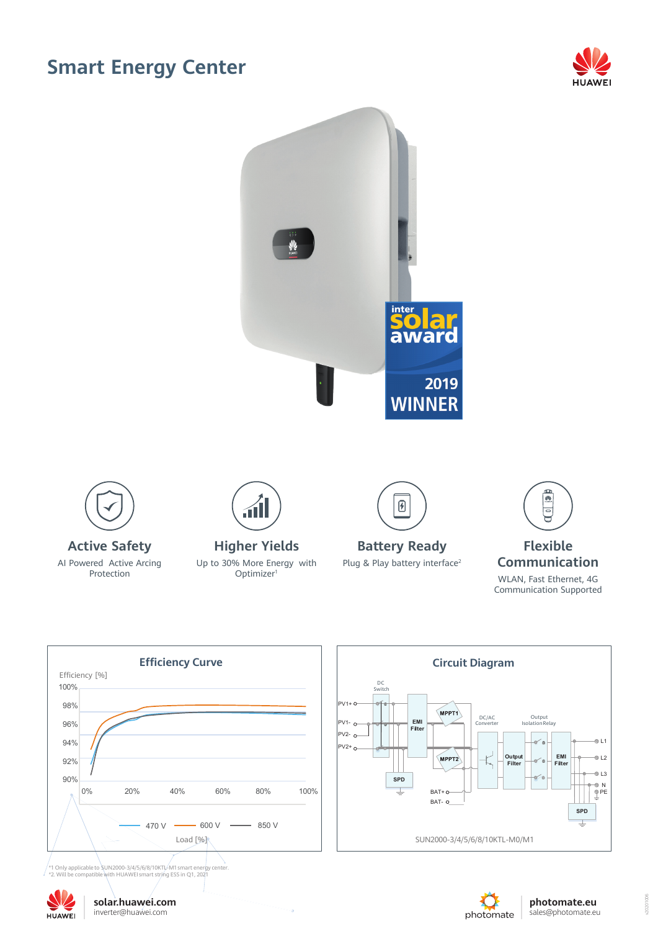## **Smart Energy Center**







 $\overline{a}$ 

\*1 Only applicable to SUN2000-3/4/5/6/8/10KTL-M1smart energy center. \*2. Will be compatible with HUAWEI smart string ESS in Q1, 2021







20201006